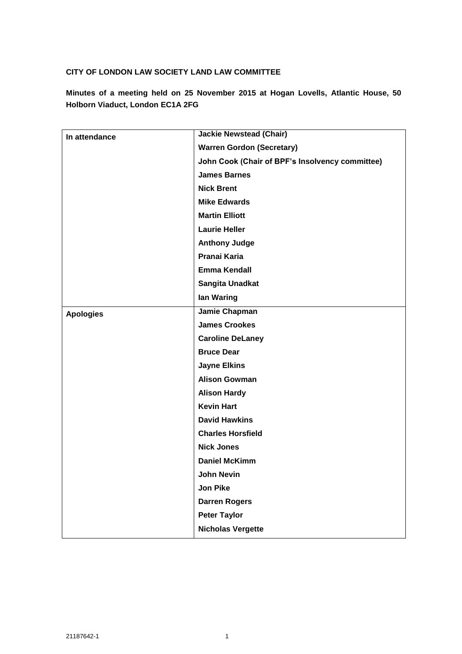## **CITY OF LONDON LAW SOCIETY LAND LAW COMMITTEE**

**Minutes of a meeting held on 25 November 2015 at Hogan Lovells, Atlantic House, 50 Holborn Viaduct, London EC1A 2FG**

| In attendance    | <b>Jackie Newstead (Chair)</b>                  |
|------------------|-------------------------------------------------|
|                  | <b>Warren Gordon (Secretary)</b>                |
|                  | John Cook (Chair of BPF's Insolvency committee) |
|                  | <b>James Barnes</b>                             |
|                  | <b>Nick Brent</b>                               |
|                  | <b>Mike Edwards</b>                             |
|                  | <b>Martin Elliott</b>                           |
|                  | <b>Laurie Heller</b>                            |
|                  | <b>Anthony Judge</b>                            |
|                  | Pranai Karia                                    |
|                  | <b>Emma Kendall</b>                             |
|                  | Sangita Unadkat                                 |
|                  | lan Waring                                      |
| <b>Apologies</b> | Jamie Chapman                                   |
|                  | <b>James Crookes</b>                            |
|                  | <b>Caroline DeLaney</b>                         |
|                  | <b>Bruce Dear</b>                               |
|                  | <b>Jayne Elkins</b>                             |
|                  | <b>Alison Gowman</b>                            |
|                  | <b>Alison Hardy</b>                             |
|                  | <b>Kevin Hart</b>                               |
|                  | <b>David Hawkins</b>                            |
|                  | <b>Charles Horsfield</b>                        |
|                  | <b>Nick Jones</b>                               |
|                  | <b>Daniel McKimm</b>                            |
|                  | John Nevin                                      |
|                  | <b>Jon Pike</b>                                 |
|                  | <b>Darren Rogers</b>                            |
|                  | <b>Peter Taylor</b>                             |
|                  | <b>Nicholas Vergette</b>                        |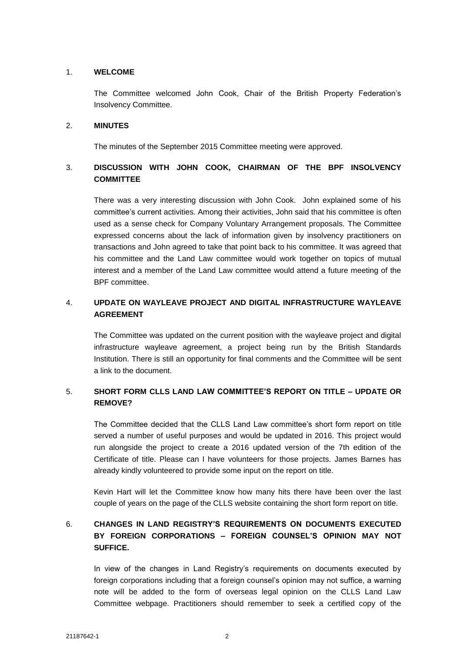### 1. **WELCOME**

The Committee welcomed John Cook, Chair of the British Property Federation's Insolvency Committee.

#### 2. **MINUTES**

The minutes of the September 2015 Committee meeting were approved.

# 3. **DISCUSSION WITH JOHN COOK, CHAIRMAN OF THE BPF INSOLVENCY COMMITTEE**

There was a very interesting discussion with John Cook. John explained some of his committee's current activities. Among their activities, John said that his committee is often used as a sense check for Company Voluntary Arrangement proposals. The Committee expressed concerns about the lack of information given by insolvency practitioners on transactions and John agreed to take that point back to his committee. It was agreed that his committee and the Land Law committee would work together on topics of mutual interest and a member of the Land Law committee would attend a future meeting of the BPF committee.

## 4. **UPDATE ON WAYLEAVE PROJECT AND DIGITAL INFRASTRUCTURE WAYLEAVE AGREEMENT**

The Committee was updated on the current position with the wayleave project and digital infrastructure wayleave agreement, a project being run by the British Standards Institution. There is still an opportunity for final comments and the Committee will be sent a link to the document.

## 5. **SHORT FORM CLLS LAND LAW COMMITTEE'S REPORT ON TITLE – UPDATE OR REMOVE?**

The Committee decided that the CLLS Land Law committee's short form report on title served a number of useful purposes and would be updated in 2016. This project would run alongside the project to create a 2016 updated version of the 7th edition of the Certificate of title. Please can I have volunteers for those projects. James Barnes has already kindly volunteered to provide some input on the report on title.

Kevin Hart will let the Committee know how many hits there have been over the last couple of years on the page of the CLLS website containing the short form report on title.

# 6. **CHANGES IN LAND REGISTRY'S REQUIREMENTS ON DOCUMENTS EXECUTED BY FOREIGN CORPORATIONS – FOREIGN COUNSEL'S OPINION MAY NOT SUFFICE.**

In view of the changes in Land Registry's requirements on documents executed by foreign corporations including that a foreign counsel's opinion may not suffice, a warning note will be added to the form of overseas legal opinion on the CLLS Land Law Committee webpage. Practitioners should remember to seek a certified copy of the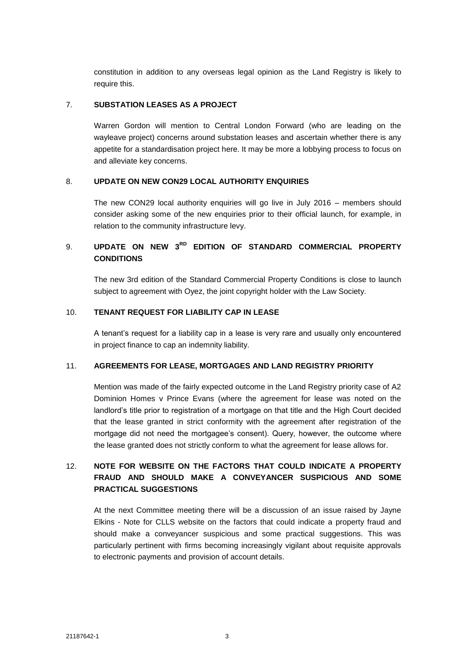constitution in addition to any overseas legal opinion as the Land Registry is likely to require this.

### 7. **SUBSTATION LEASES AS A PROJECT**

Warren Gordon will mention to Central London Forward (who are leading on the wayleave project) concerns around substation leases and ascertain whether there is any appetite for a standardisation project here. It may be more a lobbying process to focus on and alleviate key concerns.

## 8. **UPDATE ON NEW CON29 LOCAL AUTHORITY ENQUIRIES**

The new CON29 local authority enquiries will go live in July 2016 – members should consider asking some of the new enquiries prior to their official launch, for example, in relation to the community infrastructure levy.

# 9. **UPDATE ON NEW 3RD EDITION OF STANDARD COMMERCIAL PROPERTY CONDITIONS**

The new 3rd edition of the Standard Commercial Property Conditions is close to launch subject to agreement with Oyez, the joint copyright holder with the Law Society.

### 10. **TENANT REQUEST FOR LIABILITY CAP IN LEASE**

A tenant's request for a liability cap in a lease is very rare and usually only encountered in project finance to cap an indemnity liability.

### 11. **AGREEMENTS FOR LEASE, MORTGAGES AND LAND REGISTRY PRIORITY**

Mention was made of the fairly expected outcome in the Land Registry priority case of A2 Dominion Homes v Prince Evans (where the agreement for lease was noted on the landlord's title prior to registration of a mortgage on that title and the High Court decided that the lease granted in strict conformity with the agreement after registration of the mortgage did not need the mortgagee's consent). Query, however, the outcome where the lease granted does not strictly conform to what the agreement for lease allows for.

# 12. **NOTE FOR WEBSITE ON THE FACTORS THAT COULD INDICATE A PROPERTY FRAUD AND SHOULD MAKE A CONVEYANCER SUSPICIOUS AND SOME PRACTICAL SUGGESTIONS**

At the next Committee meeting there will be a discussion of an issue raised by Jayne Elkins - Note for CLLS website on the factors that could indicate a property fraud and should make a conveyancer suspicious and some practical suggestions. This was particularly pertinent with firms becoming increasingly vigilant about requisite approvals to electronic payments and provision of account details.